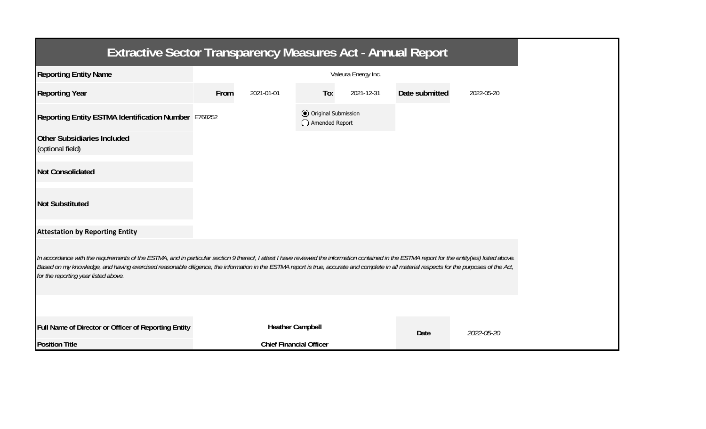| <b>Extractive Sector Transparency Measures Act - Annual Report</b>                                                                                                                                                                                                                                                                                                                                                                    |      |                                |                                       |                     |                |            |
|---------------------------------------------------------------------------------------------------------------------------------------------------------------------------------------------------------------------------------------------------------------------------------------------------------------------------------------------------------------------------------------------------------------------------------------|------|--------------------------------|---------------------------------------|---------------------|----------------|------------|
| <b>Reporting Entity Name</b>                                                                                                                                                                                                                                                                                                                                                                                                          |      |                                |                                       | Valeura Energy Inc. |                |            |
| <b>Reporting Year</b>                                                                                                                                                                                                                                                                                                                                                                                                                 | From | 2021-01-01                     | To:                                   | 2021-12-31          | Date submitted | 2022-05-20 |
| Reporting Entity ESTMA Identification Number E768252                                                                                                                                                                                                                                                                                                                                                                                  |      |                                | Original Submission<br>Amended Report |                     |                |            |
| <b>Other Subsidiaries Included</b><br>(optional field)                                                                                                                                                                                                                                                                                                                                                                                |      |                                |                                       |                     |                |            |
| <b>Not Consolidated</b>                                                                                                                                                                                                                                                                                                                                                                                                               |      |                                |                                       |                     |                |            |
| <b>Not Substituted</b>                                                                                                                                                                                                                                                                                                                                                                                                                |      |                                |                                       |                     |                |            |
| <b>Attestation by Reporting Entity</b>                                                                                                                                                                                                                                                                                                                                                                                                |      |                                |                                       |                     |                |            |
| In accordance with the requirements of the ESTMA, and in particular section 9 thereof, I attest I have reviewed the information contained in the ESTMA report for the entity(ies) listed above.<br>Based on my knowledge, and having exercised reasonable diligence, the information in the ESTMA report is true, accurate and complete in all material respects for the purposes of the Act,<br>for the reporting year listed above. |      |                                |                                       |                     |                |            |
|                                                                                                                                                                                                                                                                                                                                                                                                                                       |      |                                |                                       |                     |                |            |
| Full Name of Director or Officer of Reporting Entity                                                                                                                                                                                                                                                                                                                                                                                  |      | <b>Heather Campbell</b>        |                                       |                     | Date           | 2022-05-20 |
| <b>Position Title</b>                                                                                                                                                                                                                                                                                                                                                                                                                 |      | <b>Chief Financial Officer</b> |                                       |                     |                |            |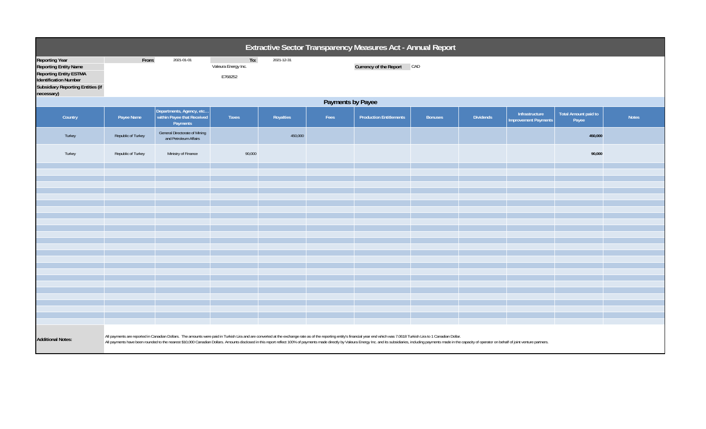| Extractive Sector Transparency Measures Act - Annual Report                                                                                                               |                                                                                                                                                                                                                                                                                                                                                                                                                                                                   |                                                                    |                                       |            |      |                                |                |                  |                                               |                                      |              |  |
|---------------------------------------------------------------------------------------------------------------------------------------------------------------------------|-------------------------------------------------------------------------------------------------------------------------------------------------------------------------------------------------------------------------------------------------------------------------------------------------------------------------------------------------------------------------------------------------------------------------------------------------------------------|--------------------------------------------------------------------|---------------------------------------|------------|------|--------------------------------|----------------|------------------|-----------------------------------------------|--------------------------------------|--------------|--|
| Reporting Year<br><b>Reporting Entity Name</b><br><b>Reporting Entity ESTMA</b><br><b>Identification Number</b><br><b>Subsidiary Reporting Entities (if</b><br>necessary) | From:                                                                                                                                                                                                                                                                                                                                                                                                                                                             | 2021-01-01                                                         | To:<br>Valeura Energy Inc.<br>E768252 | 2021-12-31 |      | Currency of the Report CAD     |                |                  |                                               |                                      |              |  |
|                                                                                                                                                                           | Payments by Payee                                                                                                                                                                                                                                                                                                                                                                                                                                                 |                                                                    |                                       |            |      |                                |                |                  |                                               |                                      |              |  |
| Country                                                                                                                                                                   | Payee Name                                                                                                                                                                                                                                                                                                                                                                                                                                                        | Departments, Agency, etc<br>within Payee that Received<br>Payments | Taxes                                 | Royalties  | Fees | <b>Production Entitlements</b> | <b>Bonuses</b> | <b>Dividends</b> | Infrastructure<br><b>Improvement Payments</b> | <b>Total Amount paid to</b><br>Payee | <b>Notes</b> |  |
| Turkey                                                                                                                                                                    | Republic of Turkey                                                                                                                                                                                                                                                                                                                                                                                                                                                | General Directorate of Mining<br>and Petroleum Affairs             |                                       | 450,000    |      |                                |                |                  |                                               | 450,000                              |              |  |
| Turkey                                                                                                                                                                    | Republic of Turkey                                                                                                                                                                                                                                                                                                                                                                                                                                                | Ministry of Finance                                                | 90,000                                |            |      |                                |                |                  |                                               | 90,000                               |              |  |
|                                                                                                                                                                           |                                                                                                                                                                                                                                                                                                                                                                                                                                                                   |                                                                    |                                       |            |      |                                |                |                  |                                               |                                      |              |  |
|                                                                                                                                                                           |                                                                                                                                                                                                                                                                                                                                                                                                                                                                   |                                                                    |                                       |            |      |                                |                |                  |                                               |                                      |              |  |
|                                                                                                                                                                           |                                                                                                                                                                                                                                                                                                                                                                                                                                                                   |                                                                    |                                       |            |      |                                |                |                  |                                               |                                      |              |  |
|                                                                                                                                                                           |                                                                                                                                                                                                                                                                                                                                                                                                                                                                   |                                                                    |                                       |            |      |                                |                |                  |                                               |                                      |              |  |
|                                                                                                                                                                           |                                                                                                                                                                                                                                                                                                                                                                                                                                                                   |                                                                    |                                       |            |      |                                |                |                  |                                               |                                      |              |  |
|                                                                                                                                                                           |                                                                                                                                                                                                                                                                                                                                                                                                                                                                   |                                                                    |                                       |            |      |                                |                |                  |                                               |                                      |              |  |
|                                                                                                                                                                           |                                                                                                                                                                                                                                                                                                                                                                                                                                                                   |                                                                    |                                       |            |      |                                |                |                  |                                               |                                      |              |  |
|                                                                                                                                                                           |                                                                                                                                                                                                                                                                                                                                                                                                                                                                   |                                                                    |                                       |            |      |                                |                |                  |                                               |                                      |              |  |
|                                                                                                                                                                           |                                                                                                                                                                                                                                                                                                                                                                                                                                                                   |                                                                    |                                       |            |      |                                |                |                  |                                               |                                      |              |  |
|                                                                                                                                                                           |                                                                                                                                                                                                                                                                                                                                                                                                                                                                   |                                                                    |                                       |            |      |                                |                |                  |                                               |                                      |              |  |
|                                                                                                                                                                           |                                                                                                                                                                                                                                                                                                                                                                                                                                                                   |                                                                    |                                       |            |      |                                |                |                  |                                               |                                      |              |  |
|                                                                                                                                                                           |                                                                                                                                                                                                                                                                                                                                                                                                                                                                   |                                                                    |                                       |            |      |                                |                |                  |                                               |                                      |              |  |
|                                                                                                                                                                           |                                                                                                                                                                                                                                                                                                                                                                                                                                                                   |                                                                    |                                       |            |      |                                |                |                  |                                               |                                      |              |  |
|                                                                                                                                                                           |                                                                                                                                                                                                                                                                                                                                                                                                                                                                   |                                                                    |                                       |            |      |                                |                |                  |                                               |                                      |              |  |
|                                                                                                                                                                           |                                                                                                                                                                                                                                                                                                                                                                                                                                                                   |                                                                    |                                       |            |      |                                |                |                  |                                               |                                      |              |  |
|                                                                                                                                                                           |                                                                                                                                                                                                                                                                                                                                                                                                                                                                   |                                                                    |                                       |            |      |                                |                |                  |                                               |                                      |              |  |
|                                                                                                                                                                           |                                                                                                                                                                                                                                                                                                                                                                                                                                                                   |                                                                    |                                       |            |      |                                |                |                  |                                               |                                      |              |  |
| <b>Additional Notes:</b>                                                                                                                                                  | All payments are reported in Canadian Dollars. The amounts were paid in Turkish Lira and are converted at the exchange rate as of the reporting entity's financial year end which was 7.0618 Turkish Lira to 1 Canadian Dollar<br>All payments have been rounded to the nearest \$10,000 Canadian Dollars. Amounts disclosed in this report reflect 100% of payments made directly by Valeura Energy Inc. and its subsidiaries, including payments made in the ca |                                                                    |                                       |            |      |                                |                |                  |                                               |                                      |              |  |